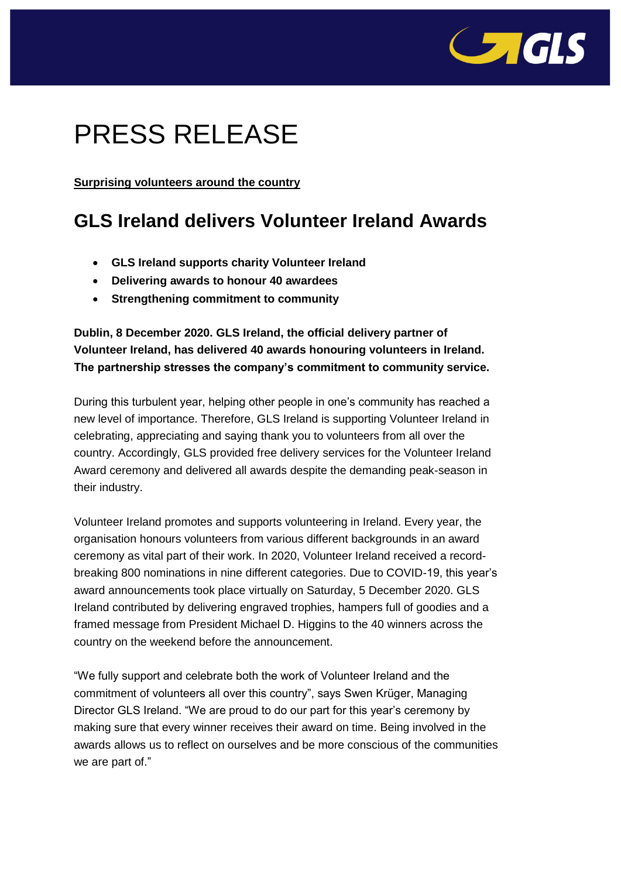

## PRESS RELEASE

**Surprising volunteers around the country**

## **GLS Ireland delivers Volunteer Ireland Awards**

- **GLS Ireland supports charity Volunteer Ireland**
- **Delivering awards to honour 40 awardees**
- **Strengthening commitment to community**

**Dublin, 8 December 2020. GLS Ireland, the official delivery partner of Volunteer Ireland, has delivered 40 awards honouring volunteers in Ireland. The partnership stresses the company's commitment to community service.**

During this turbulent year, helping other people in one's community has reached a new level of importance. Therefore, GLS Ireland is supporting Volunteer Ireland in celebrating, appreciating and saying thank you to volunteers from all over the country. Accordingly, GLS provided free delivery services for the Volunteer Ireland Award ceremony and delivered all awards despite the demanding peak-season in their industry.

Volunteer Ireland promotes and supports volunteering in Ireland. Every year, the organisation honours volunteers from various different backgrounds in an award ceremony as vital part of their work. In 2020, Volunteer Ireland received a recordbreaking 800 nominations in nine different categories. Due to COVID-19, this year's award announcements took place virtually on Saturday, 5 December 2020. GLS Ireland contributed by delivering engraved trophies, hampers full of goodies and a framed message from President Michael D. Higgins to the 40 winners across the country on the weekend before the announcement.

"We fully support and celebrate both the work of Volunteer Ireland and the commitment of volunteers all over this country", says Swen Krüger, Managing Director GLS Ireland. "We are proud to do our part for this year's ceremony by making sure that every winner receives their award on time. Being involved in the awards allows us to reflect on ourselves and be more conscious of the communities we are part of."